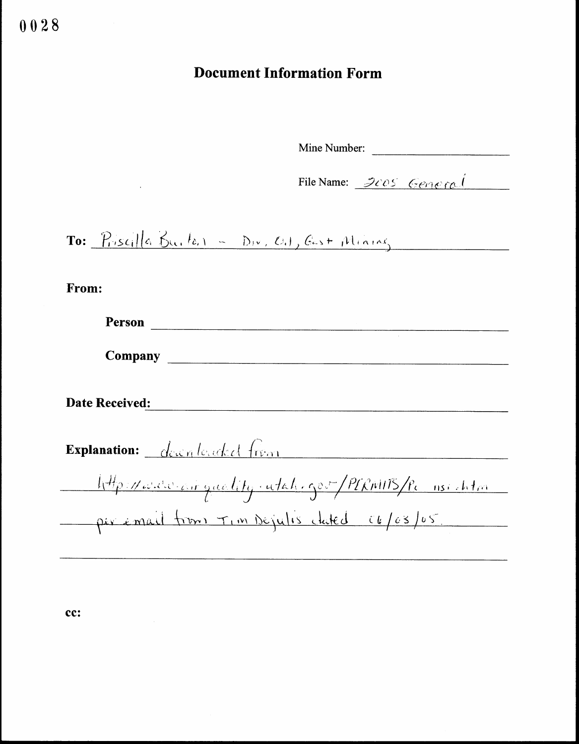# Document Information Form

Mine Number:

Mine Number:<br>File Name:  $\frac{\partial \partial \Theta}{\partial \Theta}$ 

 $\textbf{To:}$   $\frac{p_{\text{res}}}{\left|\left|a\right|}\right\|\left|a\right|}\sum_{k=1}^{N}$  $W$ ,  $O_1$ , best please

From:

| <b>Person</b>                                      |  |
|----------------------------------------------------|--|
| Company                                            |  |
| <b>Date Received:</b>                              |  |
| <b>Explanation:</b> <u>deconformed</u> from        |  |
| http://www.airguality.utak.gov-/PIRMITS/Pc nsishtm |  |
| per email from Tim Dejulis clated 06/03/05         |  |
|                                                    |  |

cc: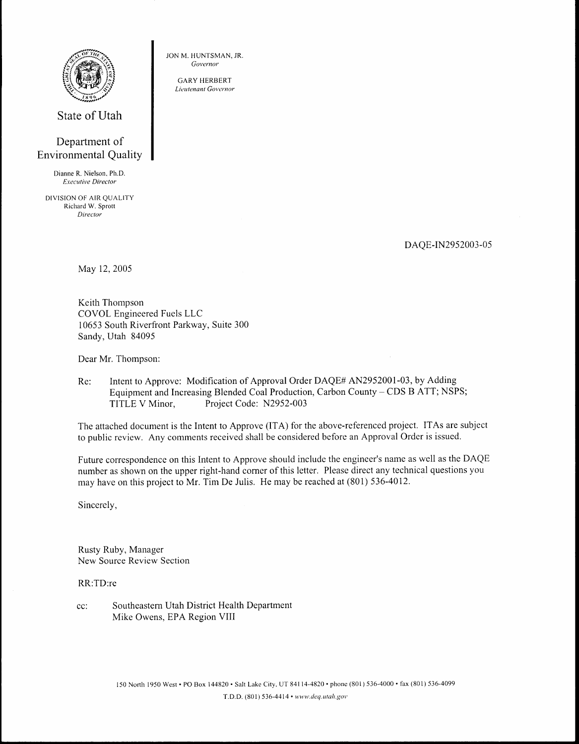

State of Utah

## Department of Environmental Quality

Dianne R. Nielson, Ph.D. Executive Director

DIVISION OF AIR QUALITY Richard W. Sprott Director

DAQE-IN2952003-05

May 12, 2005

Keith Thompson COVOL Engineered Fuels LLC 10653 South Riverfront Parkway, Suite 300 Sandy, Utah 84095 From Henrich Contents (Contents Contents Contents Contents Contents (Contents Contents Contents Contents Contents (Contents Contents Contents (Contents Contents Contents Contents (Contents Contents Contents Contents Conten Southeastern Utah<br>
Southeastern Utah<br>
Distribution of the Common Convenience<br>
Southeastern District Health<br>
District Department of<br>
District Health<br>
District Department<br>
District Health<br>
District Health<br>
District Health<br>
D

JON M. HUNTSMAN, JR. Governor GARY HERBERT Lieutenant Governor

Dear Mr. Thompson:

Re: Intent to Approve: Modification of Approval Order DAQE# AN2952001-03, by Adding Equipment and Increasing Blended Coal Production, Carbon County – CDS B ATT; NSPS;<br>TITLE V Minor, Project Code: N2952-003 TITLE V Minor,

The attached document is the Intent to Approve (ITA) for the above-referenced project . ITAs are subject to public review. Any comments received shall be considered before an Approval Order is issued.

Future correspondence on this Intent to Approve should include the engineer's name as well as the DAQE number as shown on the upper right-hand corner of this letter. Please direct any technical questions you may have on this project to Mr. Tim De Julis. He may be reached at (801) 536-4012.

Sincerely,

Rusty Ruby, Manager New Source Review Section

RR:TD:re

cc: Mike Owens, EPA Region VIII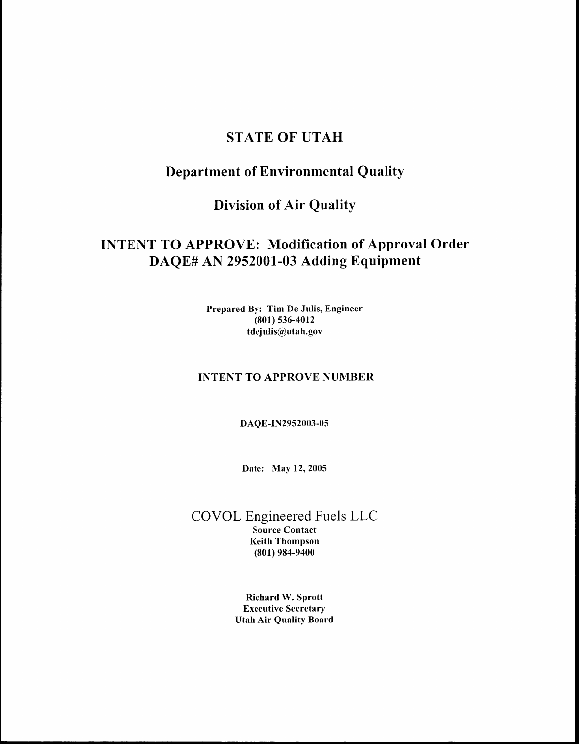## STATE OF UTAH

## Department of Environmental Quality

## Division of Air Quality

# INTENT TO APPROVE: Modification of Approval Order DAQE# AN 2952001-03 Adding Equipment

Prepared By: Tim De Julis, Engineer (801) 536-4012 t dejulis@utah.gov

### INTENT TO APPROVE NUMBER

DAQE-IN2952003-05

Date: May 12, 2005

COVOL Engineered Fuels LLC Source Contact Keith Thompson (801) 984-9400

> Richard W. Sprott Executive Secretary Utah Air Quality Board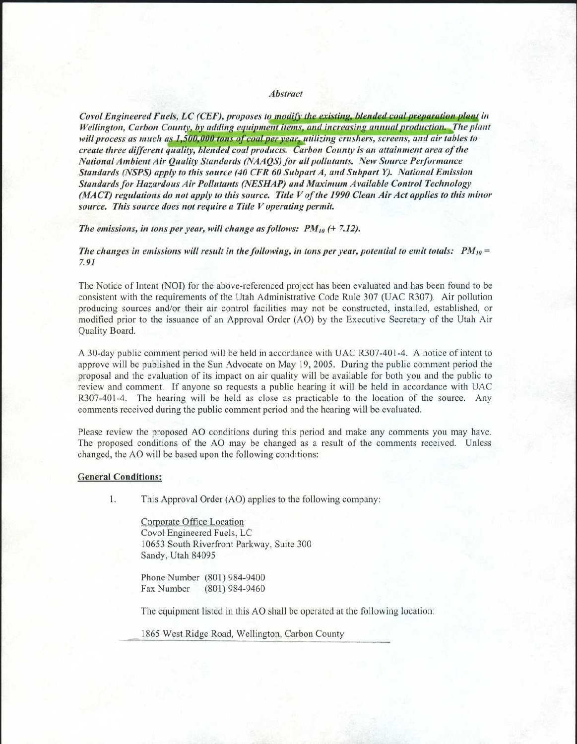#### Abstract

Covol Engineered Fuels, LC (CEF), proposes to modify the existing, blended coal preparation plant in Wellington, Carbon County, by adding equipment items, and increasing annual production. The plant will process as much as 1,500,000 tons of coal per year, utilizing crushers, screens, and air tables to create three different quality, blended coal products. Carbon County is an attainment area of the National Ambient Air Quality Standards (AAA QS) for all pollutants. New Source Performance Standards (NSPS) apply to this source (40 CFR 60 Subpart A, and Subpart Y). National Emission Standards for Hazardous Air Pollutants (NESHAP) and Maximum Available Control Technology (MACT) regulations do not apply to this source . Title V of the 1990 Clean Air Act applies to this minor source. This source does not require a Title V operating permit.

The emissions, in tons per year, will change as follows:  $PM_{10}$  (+7.12).

The changes in emissions will result in the following, in tons per year, potential to emit totals:  $PM_{10} =$ 7.91

The Notice of Intent (NOI) for the above-referenced project has been evaluated and has been found to be consistent with the requirements of the Utah Administrative Code Rule 307 (UAC R307) . Air pollution producing sources and/or their air control facilities may not be constructed, installed, established, or modified prior to the issuance of an Approval Order (AO) by the Executive Secretary of the Utah Air Quality Board.

A 30-day public comment period will be held in accordance with UAC R307-401-4 . A notice of intent to approve will be published in the Sun Advocate on May 19, 2005 . During the public comment period the proposal and the evaluation of its impact on air quality will be available for both you and the public to review and comment. If anyone so requests a public hearing it will be held in accordance with UAC R307-401-4. The hearing will be held as close as practicable to the location of the source. Any comments received during the public comment period and the hearing will be evaluated .

Please review the proposed AO conditions during this period and make any comments you may have . The proposed conditions of the AO may be changed as a result of the comments received. Unless changed, the AO will be based upon the following conditions:

#### **General Conditions:**

 

**1**. This Approval Order (AO) applies to the following company :

> Corporate Office Location Covol Engineered Fuels, LC 10653 South Riverfront Parkway, Suite 300 Sandy, Utah 84095

Phone Number (801) 984-9400<br>Fax Number (801) 984-9460 (801) 984-9460

The equipment listed in this AO shall be operated at the following location:

1865 West Ridge Road, Wellington, Carbon County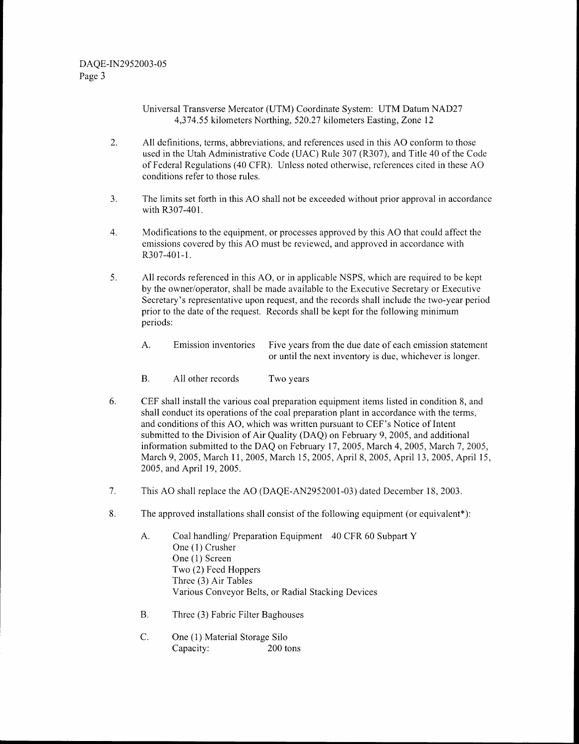Universal Transverse Mercator (UTM) Coordinate System: UTM Datum NAD27 4,374 .55 kilometers Northing, 520 .27 kilometers Easting, Zone 12

- 2. All definitions, terms, abbreviations, and references used in this AO conform to those used in the Utah Administrative Code (UAC) Rule 307 (R307), and Title 40 of the Code of Federal Regulations (40 CFR). Unless noted otherwise, references cited in these AO conditions refer to those rules.
- 3 . The limits set forth in this AO shall not be exceeded without prior approval in accordance with R307-401.
- $4.$ Modifications to the equipment, or processes approved by this AO that could affect the emissions covered by this AO must be reviewed, and approved in accordance with R307-401-1.
- 5 . All records referenced in this AO, or in applicable NSPS, which are required to be kept by the owner/operator, shall be made available to the Executive Secretary or Executive Secretary's representative upon request, and the records shall include the two-year period prior to the date of the request. Records shall be kept for the following minimum periods:
	- A. Emission inventories Five years from the due date of each emission statement or until the next inventory is due, whichever is longer .
	- B. All other records Two years
- 6 . CEF shall install the various coal preparation equipment items listed in condition 8, and shall conduct its operations of the coal preparation plant in accordance with the terms, and conditions of this AO, which was written pursuant to CEF's Notice of Intent submitted to the Division of Air Quality (DAQ) on February 9, 2005, and additional information submitted to the DAQ on February 17, 2005, March 4, 2005, March 7, 2005, March 9, 2005, March 11, 2005, March 15, 2005, April 8, 2005, April 13, 2005, April 15, 2005, and April 19, 2005.
- 7 . This AO shall replace the AO (DAQE-AN2952001-03) dated December 18, 2003 .
- 8 . The approved installations shall consist of the following equipment (or equivalent\*) :
	- A. Coal handling/ Preparation Equipment 40 CFR 60 Subpart Y One (1) Crusher One (1) Screen Two (2) Feed Hoppers Three (3) Air Tables Various Conveyor Belts, or Radial Stacking Devices
	- B. Three (3) Fabric Filter Baghouses
	- C. One (1) Material Storage Silo<br>Capacity: 200 tons Capacity: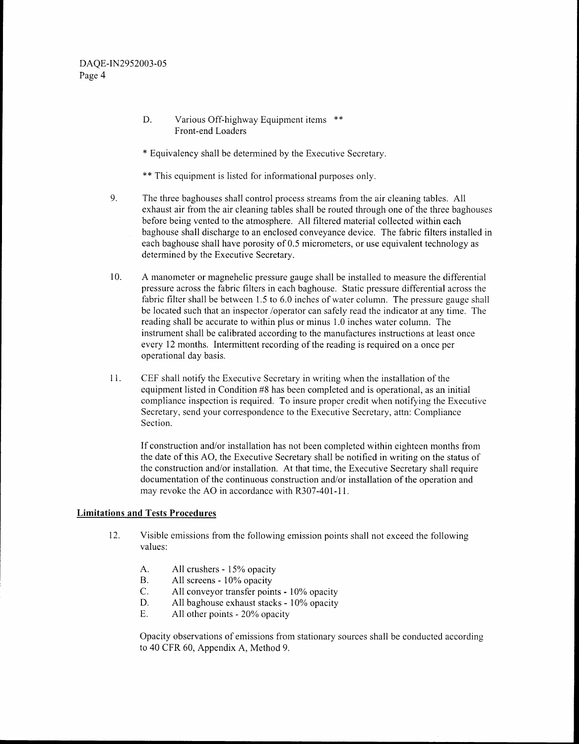- $D$ . Various Off-highway Equipment items \*\* Front-end Loaders
- \* Equivalency shall be detennined by the Executive Secretary .
- \*\* This equipment is listed for informational purposes only.
- 9. The three baghouses shall control process streams from the air cleaning tables . All exhaust air from the air cleaning tables shall be routed through one of the three baghouses before being vented to the atmosphere. All filtered material collected within each baghouse shall discharge to an enclosed conveyance device . The fabric filters installed in each baghouse shall have porosity of 0.5 micrometers, or use equivalent technology as determined by the Executive Secretary.
- $10<sub>1</sub>$ A manometer or magnehelic pressure gauge shall be installed to measure the differential pressure across the fabric filters in each baghouse . Static pressure differential across the fabric filter shall be between 1.5 to 6.0 inches of water column. The pressure gauge shall be located such that an inspector /operator can safely read the indicator at any time . The reading shall be accurate to within plus or minus 1.0 inches water column. The instrument shall be calibrated according to the manufactures instructions at least once every 12 months. Intermittent recording of the reading is required on a once per operational day basis.
- 11 . CEF shall notify the Executive Secretary in writing when the installation of the equipment listed in Condition #8 has been completed and is operational, as an initial compliance inspection is required. To insure proper credit when notifying the Executive Secretary, send your correspondence to the Executive Secretary, attn: Compliance Section.

If construction and/or installation has not been completed within eighteen months from the date of this AO, the Executive Secretary shall be notified in writing on the status of the construction and/or installation. At that time, the Executive Secretary shall require documentation of the continuous construction and/or installation of the operation and may revoke the AO in accordance with R307-401-11.

#### Limitations and Tests Procedures

- 12. Visible emissions from the following emission points shall not exceed the following values:
	- A. All crushers - 15% opacity
	- B. All screens - 10% opacity
	- C. All conveyor transfer points - 10% opacity
	- D. All baghouse exhaust stacks - 10% opacity
	- $E_{\perp}$ All other points - 20% opacity

Opacity observations of emissions from stationary sources shall be conducted according to 40 CFR 60, Appendix A, Method 9.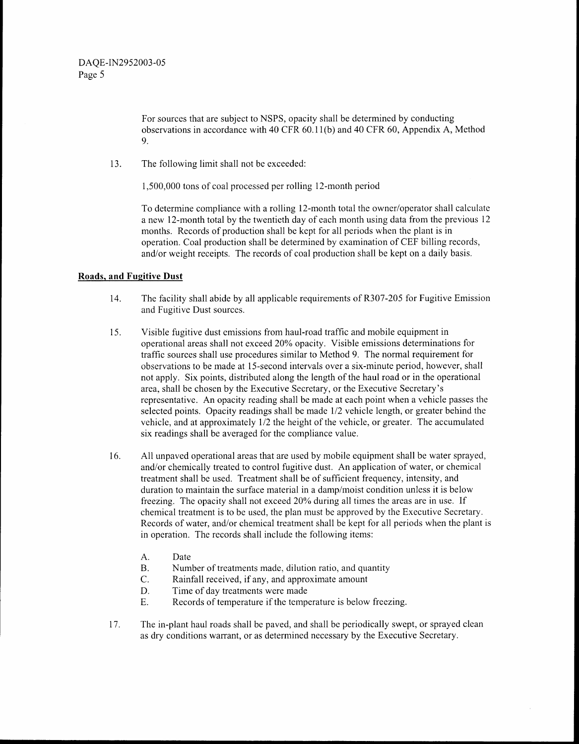For sources that are subject to NSPS, opacity shall be determined by conducting observations in accordance with 40 CFR 60 .11(b) and 40 CFR 60, Appendix A, Method 9.

13. The following limit shall not be exceeded:

1,500,000 tons of coal processed per rolling 12-month period

To determine compliance with a rolling 12-month total the owner/operator shall calculate a new 12-month total by the twentieth day of each month using data from the previous 12 months. Records of production shall be kept for all periods when the plant is in operation . Coal production shall be determined by examination of CEF billing records, and/or weight receipts. The records of coal production shall be kept on a daily basis.

#### Roads, and Fugitive Dust

- 14 . The facility shall abide by all applicable requirements of R307-205 for Fugitive Emission and Fugitive Dust sources.
- 15. Visible fugitive dust emissions from haul-road traffic and mobile equipment in operational areas shall not exceed 20% opacity . Visible emissions determinations for traffic sources shall use procedures similar to Method 9. The normal requirement for observations to be made at 15-second intervals over a six-minute period, however, shall not apply . Six points, distributed along the length of the haul road or in the operational area, shall be chosen by the Executive Secretary, or the Executive Secretary's representative . An opacity reading shall be made at each point when a vehicle passes the selected points. Opacity readings shall be made 1/2 vehicle length, or greater behind the vehicle, and at approximately 1/2 the height of the vehicle, or greater . The accumulated six readings shall be averaged for the compliance value .
- 16. All unpaved operational areas that are used by mobile equipment shall be water sprayed, and/or chemically treated to control fugitive dust . An application of water, or chemical treatment shall be used. Treatment shall be of sufficient frequency, intensity, and duration to maintain the surface material in a damp/moist condition unless it is below freezing. The opacity shall not exceed 20% during all times the areas are in use. If chemical treatment is to be used, the plan must be approved by the Executive Secretary . Records of water, and/or chemical treatment shall be kept for all periods when the plant is in operation. The records shall include the following items:
	- A.<br>B. Date
	- B. Number of treatments made, dilution ratio, and quantity<br>C. Rainfall received. if any, and approximate amount
	- C. Rainfall received, if any, and approximate amount<br>D. Time of day treatments were made
	- D. Time of day treatments were made<br>E. Records of temperature if the temperature
	- Records of temperature if the temperature is below freezing.
- 17 . The in-plant haul roads shall be paved, and shall be periodically swept, or sprayed clean as dry conditions warrant, or as determined necessary by the Executive Secretary .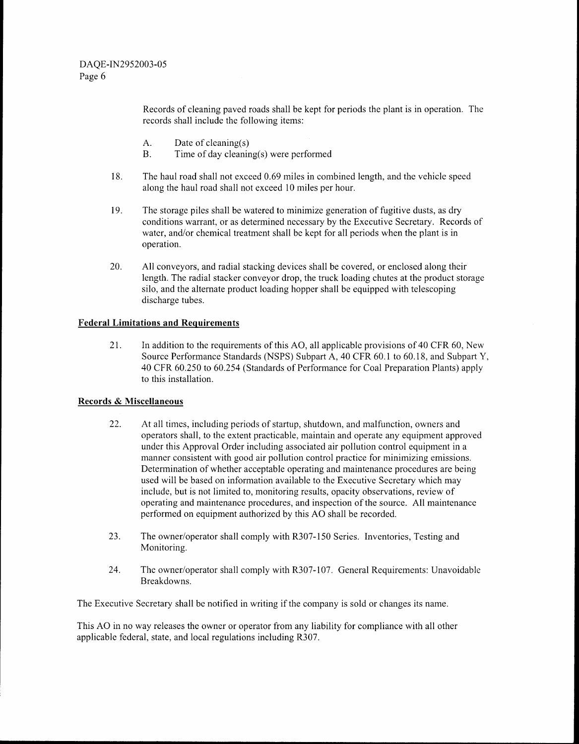Records of cleaning paved roads shall be kept for periods the plant is in operation. The records shall include the following items :

- A.<br>B. Date of cleaning(s)
- Time of day cleaning(s) were performed
- 18 . The haul road shall not exceed 0 .69 miles in combined length, and the vehicle speed along the haul road shall not exceed 10 miles per hour.
- 19. The storage piles shall be watered to minimize generation of fugitive dusts, as dry conditions warrant, or as determined necessary by the Executive Secretary . Records of water, and/or chemical treatment shall be kept for all periods when the plant is in operation.
- 20 . All conveyors, and radial stacking devices shall be covered, or enclosed along their length. The radial stacker conveyor drop, the truck loading chutes at the product storage silo, and the alternate product loading hopper shall be equipped with telescoping discharge tubes.

### Federal Limitations and Requirements

21. In addition to the requirements of this AO, all applicable provisions of 40 CFR 60, New Source Performance Standards (NSPS) Subpart A, 40 CFR 60.1 to 60.18, and Subpart Y, 40 CFR 60.250 to 60 .254 (Standards of Performance for Coal Preparation Plants) apply to this installation.

### Records&Miscellaneous

- 22. At all times, including periods of startup, shutdown, and malfunction, owners and operators shall, to the extent practicable, maintain and operate any equipment approved under this Approval Order including associated air pollution control equipment in a manner consistent with good air pollution control practice for minimizing emissions . Determination of whether acceptable operating and maintenance procedures are being used will be based on information available to the Executive Secretary which may include, but is not limited to, monitoring results, opacity observations, review of operating and maintenance procedures, and inspection of the source . All maintenance performed on equipment authorized by this AO shall be recorded.
- 23. The owner/operator shall comply with R307-150 Series. Inventories, Testing and Monitoring.
- 24. The owner/operator shall comply with R307-107. General Requirements: Unavoidable Breakdowns.

The Executive Secretary shall be notified in writing if the company is sold or changes its name .

This AO in no way releases the owner or operator from any liability for compliance with all other applicable federal, state, and local regulations including R307 .